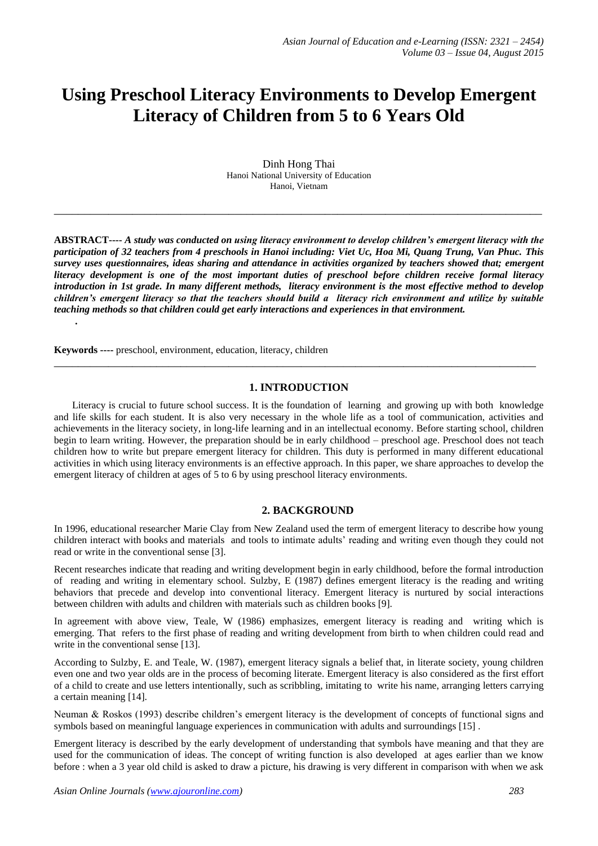# **Using Preschool Literacy Environments to Develop Emergent Literacy of Children from 5 to 6 Years Old**

Dinh Hong Thai Hanoi National [University of Education](https://www.google.com.vn/url?sa=t&rct=j&q=&esrc=s&source=web&cd=4&ved=0CEUQFjAD&url=http%3A%2F%2Fen.wikipedia.org%2Fwiki%2FHanoi_National_University_of_Education&ei=HVm5UqfiIqetiAfkyoHYCg&usg=AFQjCNE9GT2_2sZ7n8hWxq76qHOC3tpJ_A&sig2=kQ4AOMTgWQryIYpll1bE0Q&bvm=bv.58187178,d.aGc) Hanoi, Vietnam

**\_\_\_\_\_\_\_\_\_\_\_\_\_\_\_\_\_\_\_\_\_\_\_\_\_\_\_\_\_\_\_\_\_\_\_\_\_\_\_\_\_\_\_\_\_\_\_\_\_\_\_\_\_\_\_\_\_\_\_\_\_\_\_\_\_\_\_\_\_\_\_\_\_\_\_\_\_\_\_\_\_**

**ABSTRACT----** *A study was conducted on using literacy environment to develop children's emergent literacy with the participation of 32 teachers from 4 preschools in Hanoi including: Viet Uc, Hoa Mi, Quang Trung, Van Phuc. This survey uses questionnaires, ideas sharing and attendance in activities organized by teachers showed that; emergent literacy development is one of the most important duties of preschool before children receive formal literacy introduction in 1st grade. In many different methods, literacy environment is the most effective method to develop children's emergent literacy so that the teachers should build a literacy rich environment and utilize by suitable teaching methods so that children could get early interactions and experiences in that environment.*

**Keywords ----** preschool, environment, education, literacy, children

*.*

# **1. INTRODUCTION**

**\_\_\_\_\_\_\_\_\_\_\_\_\_\_\_\_\_\_\_\_\_\_\_\_\_\_\_\_\_\_\_\_\_\_\_\_\_\_\_\_\_\_\_\_\_\_\_\_\_\_\_\_\_\_\_\_\_\_\_\_\_\_\_\_\_\_\_\_\_\_\_\_\_\_\_\_\_\_\_\_**

Literacy is crucial to future school success. It is the foundation of learning and growing up with both knowledge and life skills for each student. It is also very necessary in the whole life as a tool of communication, activities and achievements in the literacy society, in long-life learning and in an intellectual economy. Before starting school, children begin to learn writing. However, the preparation should be in early childhood – preschool age. Preschool does not teach children how to write but prepare emergent literacy for children. This duty is performed in many different educational activities in which using literacy environments is an effective approach. In this paper, we share approaches to develop the emergent literacy of children at ages of 5 to 6 by using preschool literacy environments.

## **2. BACKGROUND**

In 1996, educational researcher Marie Clay from New Zealand used the term of emergent literacy to describe how young children interact with [books](http://en.wikipedia.org/wiki/Book) and materials and tools to intimate adults' reading and writing even though they could not read or write in the conventional sense [3].

Recent researches indicate that reading and writing development begin in early childhood, before the formal introduction of reading and writing in elementary school. Sulzby, E (1987) defines emergent literacy is the reading and writing behaviors that precede and develop into conventional literacy. Emergent literacy is nurtured by social interactions between children with adults and children with materials such as children books [9].

In agreement with above view, Teale, W (1986) emphasizes, emergent literacy is reading and writing which is emerging. That refers to the first phase of reading and writing development from birth to when children could read and write in the conventional sense [13].

According to Sulzby, E. and Teale, W. (1987), emergent literacy signals a belief that, in literate society, young children even one and two year olds are in the process of becoming literate. Emergent literacy is also considered as the first effort of a child to create and use letters intentionally, such as scribbling, imitating to write his name, arranging letters carrying a certain meaning [14].

Neuman & Roskos (1993) describe children's emergent literacy is the development of concepts of functional signs and symbols based on meaningful language experiences in communication with adults and surroundings [15] .

Emergent literacy is described by the early development of understanding that symbols have meaning and that they are used for the communication of ideas. The concept of writing function is also developed at ages earlier than we know before : when a 3 year old child is asked to draw a picture, his drawing is very different in comparison with when we ask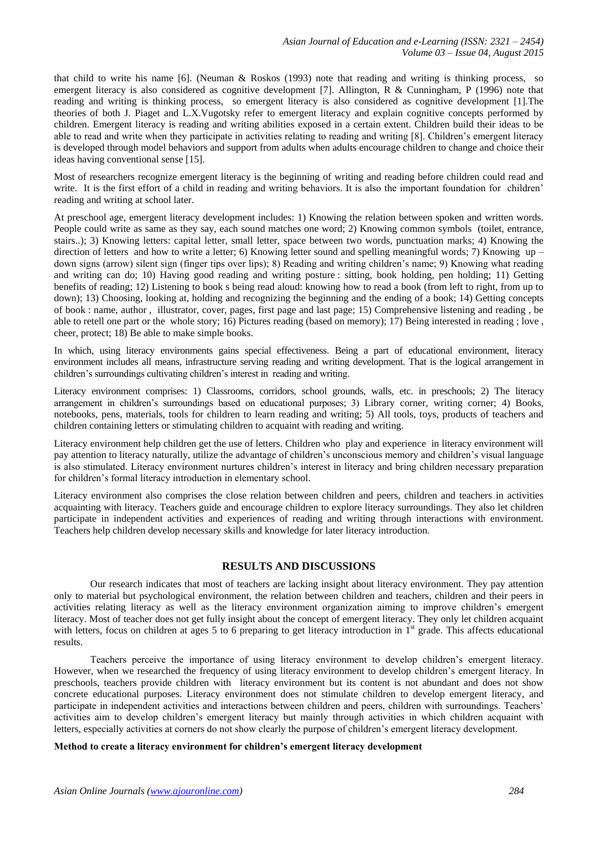that child to write his name [6]. (Neuman & Roskos (1993) note that reading and writing is thinking process, so emergent literacy is also considered as cognitive development [7]. Allington, R & Cunningham, P (1996) note that reading and writing is thinking process, so emergent literacy is also considered as cognitive development [1].The theories of both J. Piaget and L.X.Vugotsky refer to emergent literacy and explain cognitive concepts performed by children. Emergent literacy is reading and writing abilities exposed in a certain extent. Children build their ideas to be able to read and write when they participate in activities relating to reading and writing [8]. Children's emergent literacy is developed through model behaviors and support from adults when adults encourage children to change and choice their ideas having conventional sense [15].

Most of researchers recognize emergent literacy is the beginning of writing and reading before children could read and write. It is the first effort of a child in reading and writing behaviors. It is also the important foundation for children' reading and writing at school later.

At preschool age, emergent literacy development includes: 1) Knowing the relation between spoken and written words. People could write as same as they say, each sound matches one word; 2) Knowing common symbols (toilet, entrance, stairs..); 3) Knowing letters: capital letter, small letter, space between two words, punctuation marks; 4) Knowing the direction of letters and how to write a letter; 6) Knowing letter sound and spelling meaningful words; 7) Knowing up – down signs (arrow) silent sign (finger tips over lips); 8) Reading and writing children's name; 9) Knowing what reading and writing can do; 10) Having good reading and writing posture : sitting, book holding, pen holding; 11) Getting benefits of reading; 12) Listening to book s being read aloud: knowing how to read a book (from left to right, from up to down); 13) Choosing, looking at, holding and recognizing the beginning and the ending of a book; 14) Getting concepts of book : name, author , illustrator, cover, pages, first page and last page; 15) Comprehensive listening and reading , be able to retell one part or the whole story; 16) Pictures reading (based on memory); 17) Being interested in reading ; love , cheer, protect; 18) Be able to make simple books.

In which, using literacy environments gains special effectiveness. Being a part of educational environment, literacy environment includes all means, infrastructure serving reading and writing development. That is the logical arrangement in children's surroundings cultivating children's interest in reading and writing.

Literacy environment comprises: 1) Classrooms, corridors, school grounds, walls, etc. in preschools; 2) The literacy arrangement in children's surroundings based on educational purposes; 3) Library corner, writing corner; 4) Books, notebooks, pens, materials, tools for children to learn reading and writing; 5) All tools, toys, products of teachers and children containing letters or stimulating children to acquaint with reading and writing.

Literacy environment help children get the use of letters. Children who play and experience in literacy environment will pay attention to literacy naturally, utilize the advantage of children's unconscious memory and children's visual language is also stimulated. Literacy environment nurtures children's interest in literacy and bring children necessary preparation for children's formal literacy introduction in elementary school.

Literacy environment also comprises the close relation between children and peers, children and teachers in activities acquainting with literacy. Teachers guide and encourage children to explore literacy surroundings. They also let children participate in independent activities and experiences of reading and writing through interactions with environment. Teachers help children develop necessary skills and knowledge for later literacy introduction.

# **RESULTS AND DISCUSSIONS**

Our research indicates that most of teachers are lacking insight about literacy environment. They pay attention only to material but psychological environment, the relation between children and teachers, children and their peers in activities relating literacy as well as the literacy environment organization aiming to improve children's emergent literacy. Most of teacher does not get fully insight about the concept of emergent literacy. They only let children acquaint with letters, focus on children at ages 5 to 6 preparing to get literacy introduction in  $1<sup>st</sup>$  grade. This affects educational results.

Teachers perceive the importance of using literacy environment to develop children's emergent literacy. However, when we researched the frequency of using literacy environment to develop children's emergent literacy. In preschools, teachers provide children with literacy environment but its content is not abundant and does not show concrete educational purposes. Literacy environment does not stimulate children to develop emergent literacy, and participate in independent activities and interactions between children and peers, children with surroundings. Teachers' activities aim to develop children's emergent literacy but mainly through activities in which children acquaint with letters, especially activities at corners do not show clearly the purpose of children's emergent literacy development.

#### **Method to create a literacy environment for children's emergent literacy development**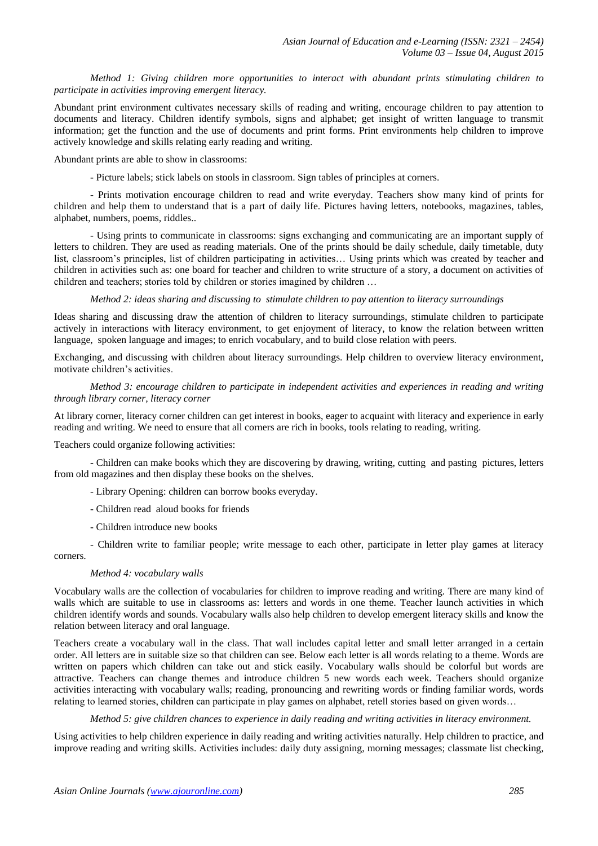## *Method 1: Giving children more opportunities to interact with abundant prints stimulating children to participate in activities improving emergent literacy.*

Abundant print environment cultivates necessary skills of reading and writing, encourage children to pay attention to documents and literacy. Children identify symbols, signs and alphabet; get insight of written language to transmit information; get the function and the use of documents and print forms. Print environments help children to improve actively knowledge and skills relating early reading and writing.

Abundant prints are able to show in classrooms:

- Picture labels; stick labels on stools in classroom. Sign tables of principles at corners.

- Prints motivation encourage children to read and write everyday. Teachers show many kind of prints for children and help them to understand that is a part of daily life. Pictures having letters, notebooks, magazines, tables, alphabet, numbers, poems, riddles..

- Using prints to communicate in classrooms: signs exchanging and communicating are an important supply of letters to children. They are used as reading materials. One of the prints should be daily schedule, daily timetable, duty list, classroom's principles, list of children participating in activities… Using prints which was created by teacher and children in activities such as: one board for teacher and children to write structure of a story, a document on activities of children and teachers; stories told by children or stories imagined by children …

*Method 2: ideas sharing and discussing to stimulate children to pay attention to literacy surroundings* 

Ideas sharing and discussing draw the attention of children to literacy surroundings, stimulate children to participate actively in interactions with literacy environment, to get enjoyment of literacy, to know the relation between written language, spoken language and images; to enrich vocabulary, and to build close relation with peers.

Exchanging, and discussing with children about literacy surroundings. Help children to overview literacy environment, motivate children's activities.

*Method 3: encourage children to participate in independent activities and experiences in reading and writing through library corner, literacy corner* 

At library corner, literacy corner children can get interest in books, eager to acquaint with literacy and experience in early reading and writing. We need to ensure that all corners are rich in books, tools relating to reading, writing.

Teachers could organize following activities:

- Children can make books which they are discovering by drawing, writing, cutting and pasting pictures, letters from old magazines and then display these books on the shelves.

- Library Opening: children can borrow books everyday.
- Children read aloud books for friends
- Children introduce new books

- Children write to familiar people; write message to each other, participate in letter play games at literacy corners.

## *Method 4: vocabulary walls*

Vocabulary walls are the collection of vocabularies for children to improve reading and writing. There are many kind of walls which are suitable to use in classrooms as: letters and words in one theme. Teacher launch activities in which children identify words and sounds. Vocabulary walls also help children to develop emergent literacy skills and know the relation between literacy and oral language.

Teachers create a vocabulary wall in the class. That wall includes capital letter and small letter arranged in a certain order. All letters are in suitable size so that children can see. Below each letter is all words relating to a theme. Words are written on papers which children can take out and stick easily. Vocabulary walls should be colorful but words are attractive. Teachers can change themes and introduce children 5 new words each week. Teachers should organize activities interacting with vocabulary walls; reading, pronouncing and rewriting words or finding familiar words, words relating to learned stories, children can participate in play games on alphabet, retell stories based on given words…

*Method 5: give children chances to experience in daily reading and writing activities in literacy environment.* 

Using activities to help children experience in daily reading and writing activities naturally. Help children to practice, and improve reading and writing skills. Activities includes: daily duty assigning, morning messages; classmate list checking,